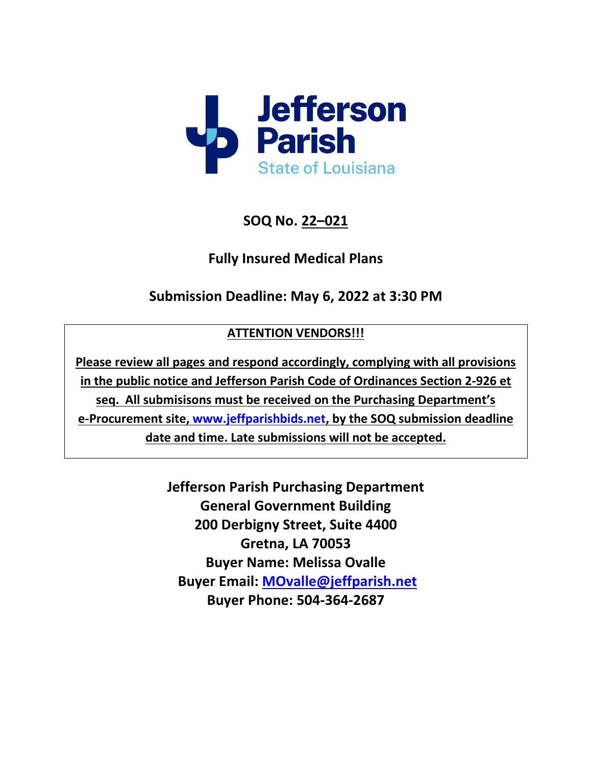

**SOQ No. 22–021**

**Fully Insured Medical Plans**

**Submission Deadline: May 6, 2022 at 3:30 PM**

# **ATTENTION VENDORS!!!**

**Please review all pages and respond accordingly, complying with all provisions in the public notice and Jefferson Parish Code of Ordinances Section 2-926 et seq. All submisisons must be received on the Purchasing Department's e-Procurement site, [www.jeffparishbids.net,](http://www.jeffparishbids.net/) by the SOQ submission deadline date and time. Late submissions will not be accepted.**

> **Jefferson Parish Purchasing Department General Government Building 200 Derbigny Street, Suite 4400 Gretna, LA 70053 Buyer Name: Melissa Ovalle Buyer Email: [MOvalle@jeffparish.net](mailto:MOvalle@jeffparish.net) Buyer Phone: 504-364-2687**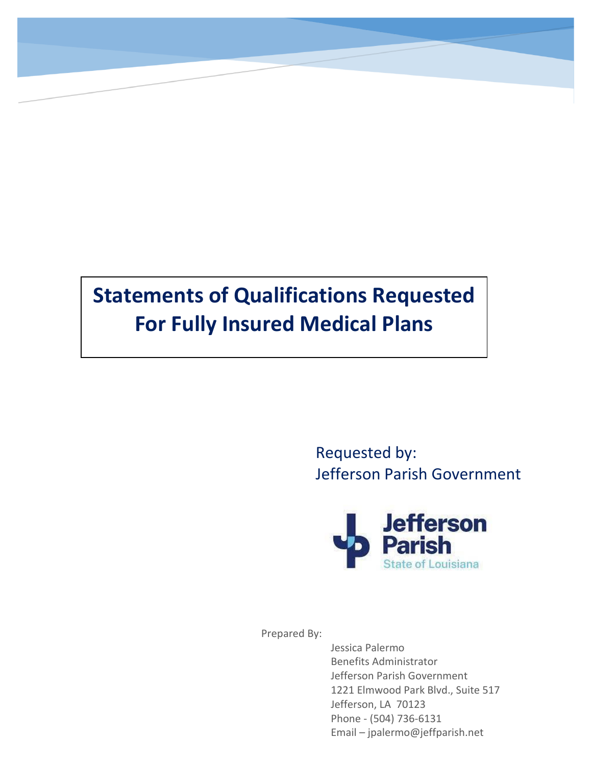# **Statements of Qualifications Requested For Fully Insured Medical Plans**

Requested by: Jefferson Parish Government



Prepared By:

Jessica Palermo Benefits Administrator Jefferson Parish Government 1221 Elmwood Park Blvd., Suite 517 Jefferson, LA 70123 Phone - (504) 736-6131 Email – jpalermo@jeffparish.net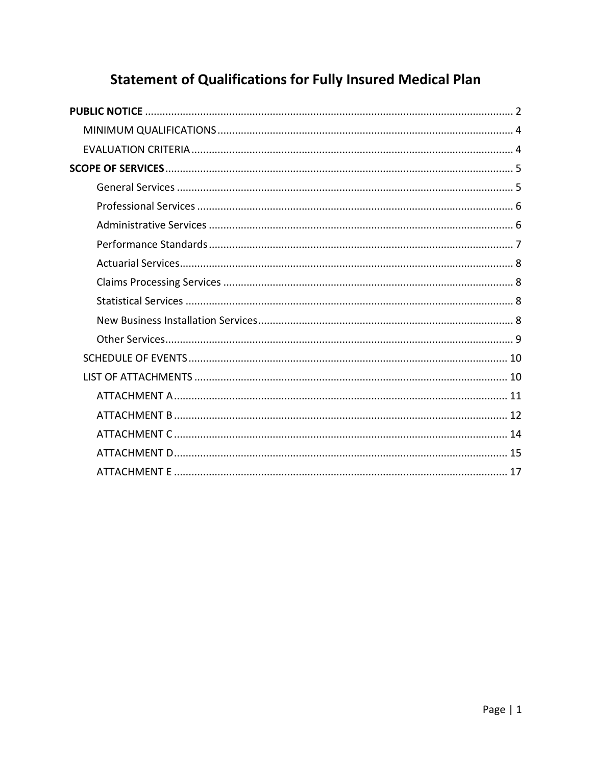# **Statement of Qualifications for Fully Insured Medical Plan**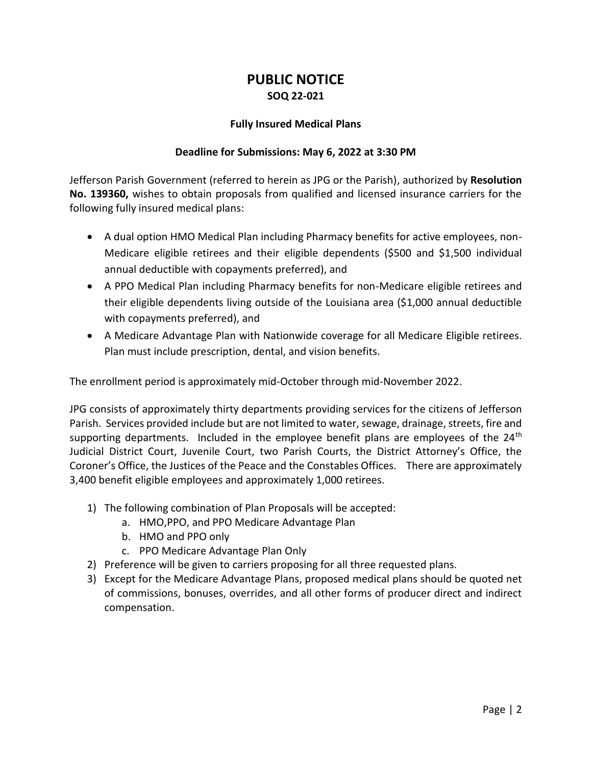## **PUBLIC NOTICE SOQ 22-021**

#### **Fully Insured Medical Plans**

#### **Deadline for Submissions: May 6, 2022 at 3:30 PM**

<span id="page-3-0"></span>Jefferson Parish Government (referred to herein as JPG or the Parish), authorized by **Resolution No. 139360,** wishes to obtain proposals from qualified and licensed insurance carriers for the following fully insured medical plans:

- A dual option HMO Medical Plan including Pharmacy benefits for active employees, non-Medicare eligible retirees and their eligible dependents (\$500 and \$1,500 individual annual deductible with copayments preferred), and
- A PPO Medical Plan including Pharmacy benefits for non-Medicare eligible retirees and their eligible dependents living outside of the Louisiana area (\$1,000 annual deductible with copayments preferred), and
- A Medicare Advantage Plan with Nationwide coverage for all Medicare Eligible retirees. Plan must include prescription, dental, and vision benefits.

The enrollment period is approximately mid-October through mid-November 2022.

JPG consists of approximately thirty departments providing services for the citizens of Jefferson Parish. Services provided include but are not limited to water, sewage, drainage, streets, fire and supporting departments. Included in the employee benefit plans are employees of the  $24<sup>th</sup>$ Judicial District Court, Juvenile Court, two Parish Courts, the District Attorney's Office, the Coroner's Office, the Justices of the Peace and the Constables Offices. There are approximately 3,400 benefit eligible employees and approximately 1,000 retirees.

- 1) The following combination of Plan Proposals will be accepted:
	- a. HMO,PPO, and PPO Medicare Advantage Plan
	- b. HMO and PPO only
	- c. PPO Medicare Advantage Plan Only
- 2) Preference will be given to carriers proposing for all three requested plans.
- 3) Except for the Medicare Advantage Plans, proposed medical plans should be quoted net of commissions, bonuses, overrides, and all other forms of producer direct and indirect compensation.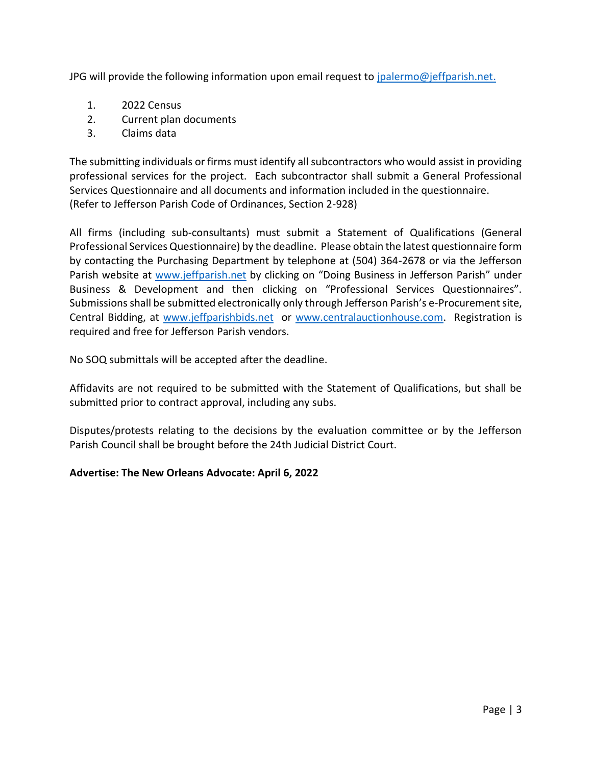JPG will provide the following information upon email request to [jpalermo@jeffparish.net.](mailto:jpalermo@jeffparish.net)

- 1. 2022 Census
- 2. Current plan documents
- 3. Claims data

The submitting individuals or firms must identify all subcontractors who would assist in providing professional services for the project. Each subcontractor shall submit a General Professional Services Questionnaire and all documents and information included in the questionnaire. (Refer to Jefferson Parish Code of Ordinances, Section 2-928)

All firms (including sub-consultants) must submit a Statement of Qualifications (General Professional Services Questionnaire) by the deadline. Please obtain the latest questionnaire form by contacting the Purchasing Department by telephone at (504) 364-2678 or via the Jefferson Parish website at [www.jeffparish.net](http://www.jeffparish.net/) by clicking on "Doing Business in Jefferson Parish" under Business & Development and then clicking on "Professional Services Questionnaires". Submissions shall be submitted electronically only through Jefferson Parish's e-Procurement site, Central Bidding, at [www.jeffparishbids.net](http://www.jeffparishbids.net/) or [www.centralauctionhouse.com.](http://www.centralauctionhouse.com/) Registration is required and free for Jefferson Parish vendors.

No SOQ submittals will be accepted after the deadline.

Affidavits are not required to be submitted with the Statement of Qualifications, but shall be submitted prior to contract approval, including any subs.

Disputes/protests relating to the decisions by the evaluation committee or by the Jefferson Parish Council shall be brought before the 24th Judicial District Court.

#### **Advertise: The New Orleans Advocate: April 6, 2022**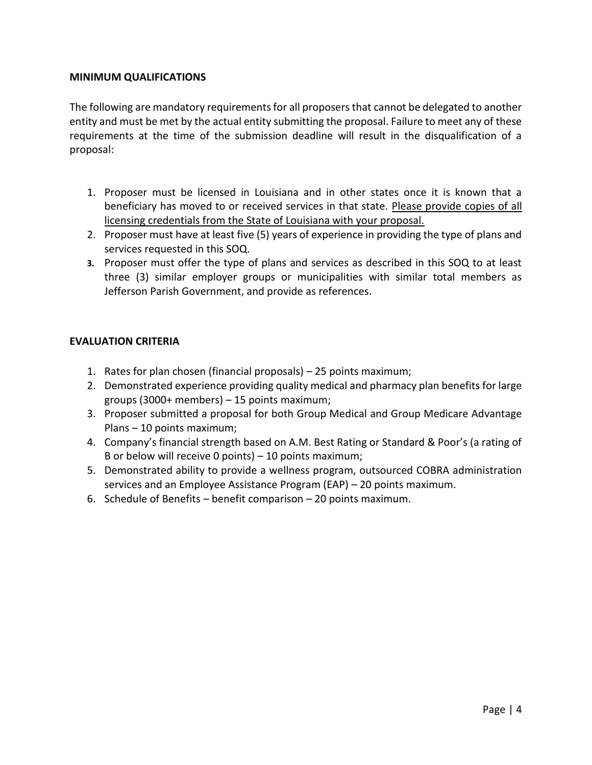#### <span id="page-5-0"></span>**MINIMUM QUALIFICATIONS**

The following are mandatory requirements for all proposers that cannot be delegated to another entity and must be met by the actual entity submitting the proposal. Failure to meet any of these requirements at the time of the submission deadline will result in the disqualification of a proposal:

- 1. Proposer must be licensed in Louisiana and in other states once it is known that a beneficiary has moved to or received services in that state. Please provide copies of all licensing credentials from the State of Louisiana with your proposal.
- 2. Proposer must have at least five (5) years of experience in providing the type of plans and services requested in this SOQ.
- **3.** Proposer must offer the type of plans and services as described in this SOQ to at least three (3) similar employer groups or municipalities with similar total members as Jefferson Parish Government, and provide as references.

#### <span id="page-5-1"></span>**EVALUATION CRITERIA**

- 1. Rates for plan chosen (financial proposals) 25 points maximum;
- 2. Demonstrated experience providing quality medical and pharmacy plan benefits for large groups (3000+ members) – 15 points maximum;
- 3. Proposer submitted a proposal for both Group Medical and Group Medicare Advantage Plans – 10 points maximum;
- 4. Company's financial strength based on A.M. Best Rating or Standard & Poor's (a rating of B or below will receive 0 points) – 10 points maximum;
- 5. Demonstrated ability to provide a wellness program, outsourced COBRA administration services and an Employee Assistance Program (EAP) – 20 points maximum.
- <span id="page-5-2"></span>6. Schedule of Benefits – benefit comparison – 20 points maximum.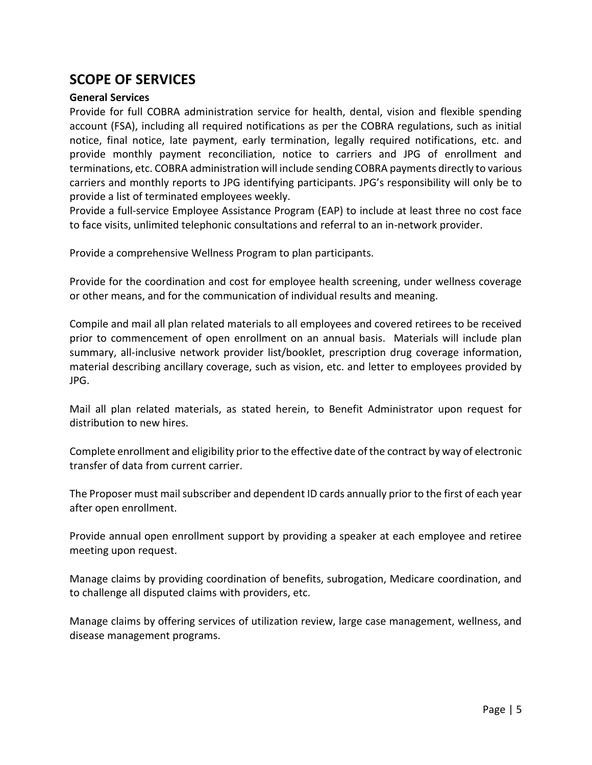## **SCOPE OF SERVICES**

#### <span id="page-6-0"></span>**General Services**

Provide for full COBRA administration service for health, dental, vision and flexible spending account (FSA), including all required notifications as per the COBRA regulations, such as initial notice, final notice, late payment, early termination, legally required notifications, etc. and provide monthly payment reconciliation, notice to carriers and JPG of enrollment and terminations, etc. COBRA administration will include sending COBRA payments directly to various carriers and monthly reports to JPG identifying participants. JPG's responsibility will only be to provide a list of terminated employees weekly.

Provide a full-service Employee Assistance Program (EAP) to include at least three no cost face to face visits, unlimited telephonic consultations and referral to an in-network provider.

Provide a comprehensive Wellness Program to plan participants.

Provide for the coordination and cost for employee health screening, under wellness coverage or other means, and for the communication of individual results and meaning.

Compile and mail all plan related materials to all employees and covered retirees to be received prior to commencement of open enrollment on an annual basis. Materials will include plan summary, all-inclusive network provider list/booklet, prescription drug coverage information, material describing ancillary coverage, such as vision, etc. and letter to employees provided by JPG.

Mail all plan related materials, as stated herein, to Benefit Administrator upon request for distribution to new hires.

Complete enrollment and eligibility prior to the effective date of the contract by way of electronic transfer of data from current carrier.

The Proposer must mail subscriber and dependent ID cards annually prior to the first of each year after open enrollment.

Provide annual open enrollment support by providing a speaker at each employee and retiree meeting upon request.

Manage claims by providing coordination of benefits, subrogation, Medicare coordination, and to challenge all disputed claims with providers, etc.

Manage claims by offering services of utilization review, large case management, wellness, and disease management programs.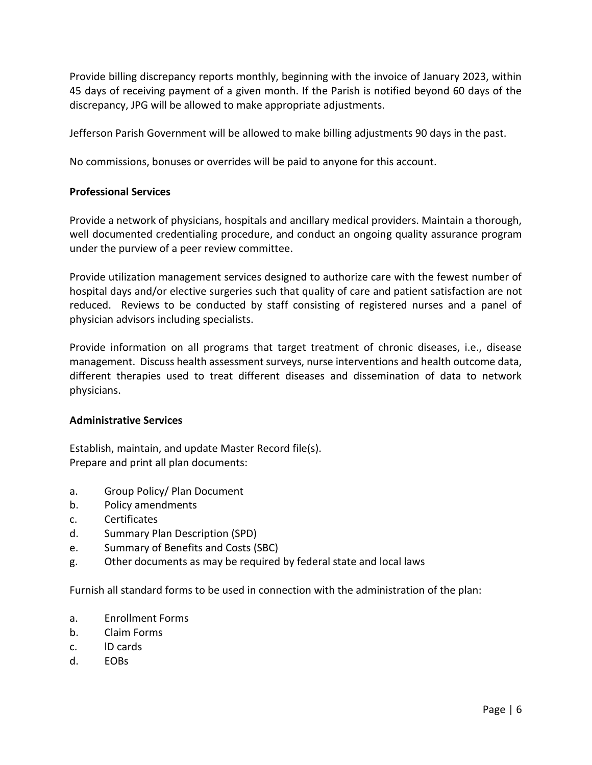Provide billing discrepancy reports monthly, beginning with the invoice of January 2023, within 45 days of receiving payment of a given month. If the Parish is notified beyond 60 days of the discrepancy, JPG will be allowed to make appropriate adjustments.

Jefferson Parish Government will be allowed to make billing adjustments 90 days in the past.

No commissions, bonuses or overrides will be paid to anyone for this account.

#### <span id="page-7-0"></span>**Professional Services**

Provide a network of physicians, hospitals and ancillary medical providers. Maintain a thorough, well documented credentialing procedure, and conduct an ongoing quality assurance program under the purview of a peer review committee.

Provide utilization management services designed to authorize care with the fewest number of hospital days and/or elective surgeries such that quality of care and patient satisfaction are not reduced. Reviews to be conducted by staff consisting of registered nurses and a panel of physician advisors including specialists.

Provide information on all programs that target treatment of chronic diseases, i.e., disease management. Discuss health assessment surveys, nurse interventions and health outcome data, different therapies used to treat different diseases and dissemination of data to network physicians.

#### <span id="page-7-1"></span>**Administrative Services**

Establish, maintain, and update Master Record file(s). Prepare and print all plan documents:

- a. Group Policy/ Plan Document
- b. Policy amendments
- c. Certificates
- d. Summary Plan Description (SPD)
- e. Summary of Benefits and Costs (SBC)
- g. Other documents as may be required by federal state and local laws

Furnish all standard forms to be used in connection with the administration of the plan:

- a. Enrollment Forms
- b. Claim Forms
- c. lD cards
- d. EOBs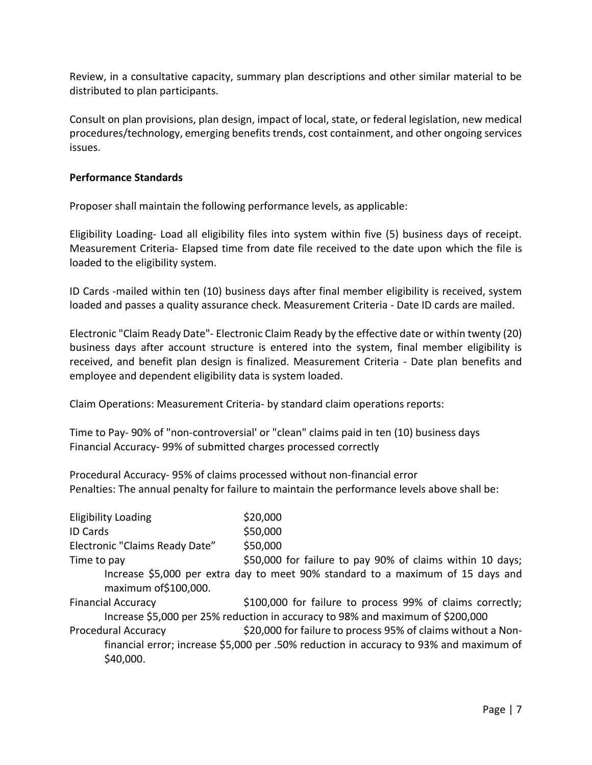Review, in a consultative capacity, summary plan descriptions and other similar material to be distributed to plan participants.

Consult on plan provisions, plan design, impact of local, state, or federal legislation, new medical procedures/technology, emerging benefits trends, cost containment, and other ongoing services issues.

#### <span id="page-8-0"></span>**Performance Standards**

Proposer shall maintain the following performance levels, as applicable:

Eligibility Loading- Load all eligibility files into system within five (5) business days of receipt. Measurement Criteria- Elapsed time from date file received to the date upon which the file is loaded to the eligibility system.

ID Cards -mailed within ten (10) business days after final member eligibility is received, system loaded and passes a quality assurance check. Measurement Criteria - Date ID cards are mailed.

Electronic "Claim Ready Date"- Electronic Claim Ready by the effective date or within twenty (20) business days after account structure is entered into the system, final member eligibility is received, and benefit plan design is finalized. Measurement Criteria - Date plan benefits and employee and dependent eligibility data is system loaded.

Claim Operations: Measurement Criteria- by standard claim operations reports:

Time to Pay- 90% of "non-controversial' or "clean" claims paid in ten (10) business days Financial Accuracy- 99% of submitted charges processed correctly

Procedural Accuracy- 95% of claims processed without non-financial error Penalties: The annual penalty for failure to maintain the performance levels above shall be:

| <b>Eligibility Loading</b>     | \$20,000                                                                               |
|--------------------------------|----------------------------------------------------------------------------------------|
| <b>ID Cards</b>                | \$50,000                                                                               |
| Electronic "Claims Ready Date" | \$50,000                                                                               |
| Time to pay                    | \$50,000 for failure to pay 90% of claims within 10 days;                              |
| maximum of \$100,000.          | Increase \$5,000 per extra day to meet 90% standard to a maximum of 15 days and        |
| <b>Financial Accuracy</b>      | \$100,000 for failure to process 99% of claims correctly;                              |
|                                | Increase \$5,000 per 25% reduction in accuracy to 98% and maximum of \$200,000         |
| <b>Procedural Accuracy</b>     | \$20,000 for failure to process 95% of claims without a Non-                           |
|                                | financial error; increase \$5,000 per .50% reduction in accuracy to 93% and maximum of |
| \$40,000.                      |                                                                                        |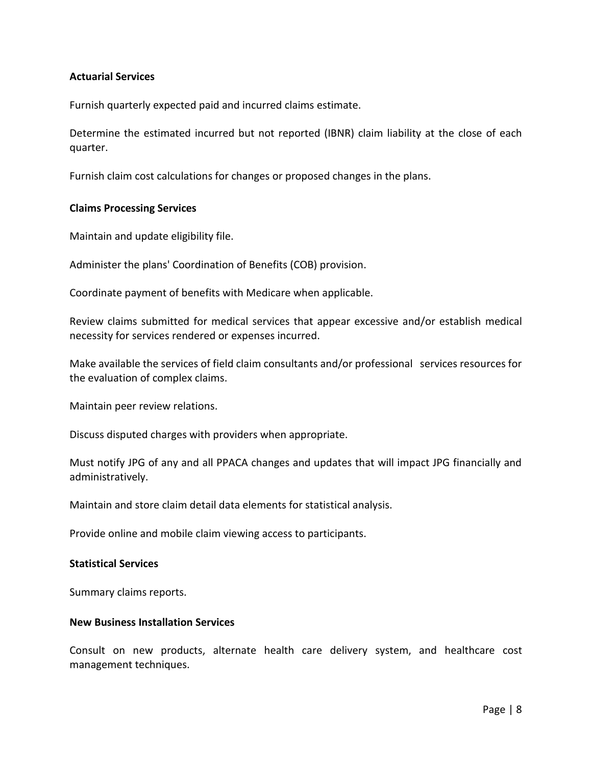#### <span id="page-9-0"></span>**Actuarial Services**

Furnish quarterly expected paid and incurred claims estimate.

Determine the estimated incurred but not reported (IBNR) claim liability at the close of each quarter.

<span id="page-9-1"></span>Furnish claim cost calculations for changes or proposed changes in the plans.

#### **Claims Processing Services**

Maintain and update eligibility file.

Administer the plans' Coordination of Benefits (COB) provision.

Coordinate payment of benefits with Medicare when applicable.

Review claims submitted for medical services that appear excessive and/or establish medical necessity for services rendered or expenses incurred.

Make available the services of field claim consultants and/or professional services resources for the evaluation of complex claims.

Maintain peer review relations.

Discuss disputed charges with providers when appropriate.

Must notify JPG of any and all PPACA changes and updates that will impact JPG financially and administratively.

Maintain and store claim detail data elements for statistical analysis.

Provide online and mobile claim viewing access to participants.

#### <span id="page-9-2"></span>**Statistical Services**

Summary claims reports.

#### <span id="page-9-3"></span>**New Business Installation Services**

Consult on new products, alternate health care delivery system, and healthcare cost management techniques.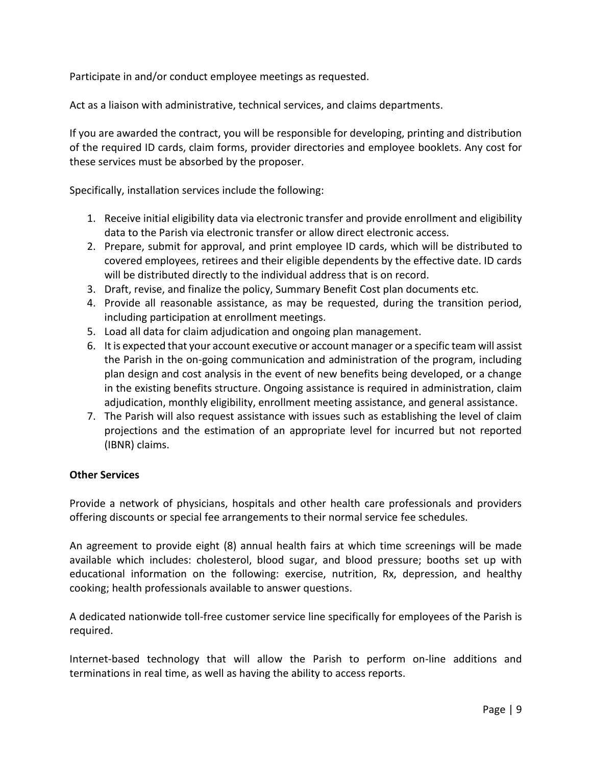Participate in and/or conduct employee meetings as requested.

Act as a liaison with administrative, technical services, and claims departments.

If you are awarded the contract, you will be responsible for developing, printing and distribution of the required ID cards, claim forms, provider directories and employee booklets. Any cost for these services must be absorbed by the proposer.

Specifically, installation services include the following:

- 1. Receive initial eligibility data via electronic transfer and provide enrollment and eligibility data to the Parish via electronic transfer or allow direct electronic access.
- 2. Prepare, submit for approval, and print employee ID cards, which will be distributed to covered employees, retirees and their eligible dependents by the effective date. ID cards will be distributed directly to the individual address that is on record.
- 3. Draft, revise, and finalize the policy, Summary Benefit Cost plan documents etc.
- 4. Provide all reasonable assistance, as may be requested, during the transition period, including participation at enrollment meetings.
- 5. Load all data for claim adjudication and ongoing plan management.
- 6. It is expected that your account executive or account manager or a specific team will assist the Parish in the on-going communication and administration of the program, including plan design and cost analysis in the event of new benefits being developed, or a change in the existing benefits structure. Ongoing assistance is required in administration, claim adjudication, monthly eligibility, enrollment meeting assistance, and general assistance.
- 7. The Parish will also request assistance with issues such as establishing the level of claim projections and the estimation of an appropriate level for incurred but not reported (IBNR) claims.

#### <span id="page-10-0"></span>**Other Services**

Provide a network of physicians, hospitals and other health care professionals and providers offering discounts or special fee arrangements to their normal service fee schedules.

An agreement to provide eight (8) annual health fairs at which time screenings will be made available which includes: cholesterol, blood sugar, and blood pressure; booths set up with educational information on the following: exercise, nutrition, Rx, depression, and healthy cooking; health professionals available to answer questions.

A dedicated nationwide toll-free customer service line specifically for employees of the Parish is required.

Internet-based technology that will allow the Parish to perform on-line additions and terminations in real time, as well as having the ability to access reports.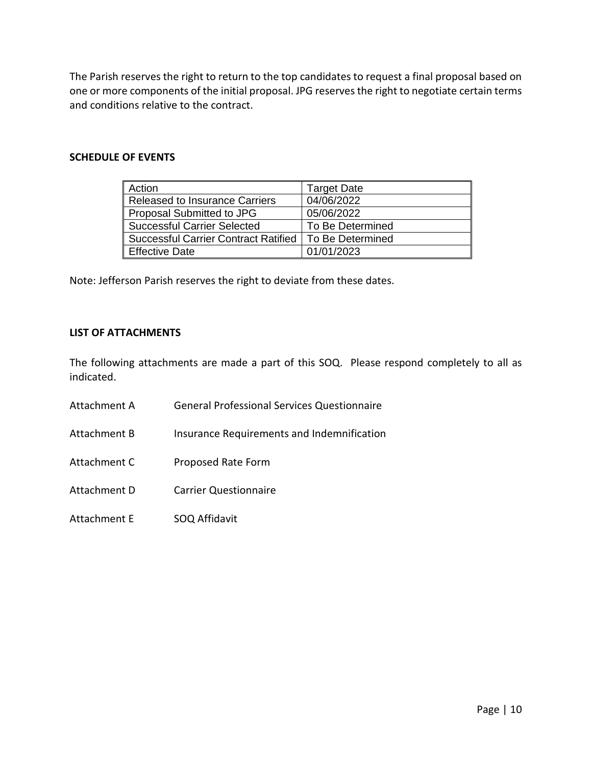The Parish reserves the right to return to the top candidates to request a final proposal based on one or more components of the initial proposal. JPG reserves the right to negotiate certain terms and conditions relative to the contract.

#### <span id="page-11-0"></span>**SCHEDULE OF EVENTS**

| Action                                | <b>Target Date</b> |
|---------------------------------------|--------------------|
| <b>Released to Insurance Carriers</b> | 04/06/2022         |
| Proposal Submitted to JPG             | 05/06/2022         |
| <b>Successful Carrier Selected</b>    | To Be Determined   |
| Successful Carrier Contract Ratified  | To Be Determined   |
| <b>Effective Date</b>                 | 01/01/2023         |

Note: Jefferson Parish reserves the right to deviate from these dates.

#### <span id="page-11-1"></span>**LIST OF ATTACHMENTS**

The following attachments are made a part of this SOQ. Please respond completely to all as indicated.

- Attachment A General Professional Services Questionnaire
- Attachment B Insurance Requirements and Indemnification
- Attachment C Proposed Rate Form
- Attachment D Carrier Questionnaire
- Attachment E SOQ Affidavit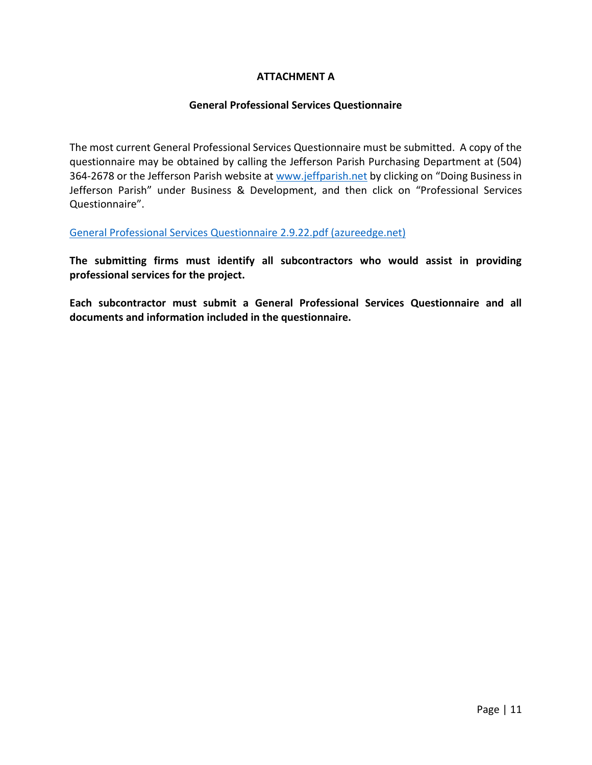#### **ATTACHMENT A**

#### **General Professional Services Questionnaire**

<span id="page-12-0"></span>The most current General Professional Services Questionnaire must be submitted. A copy of the questionnaire may be obtained by calling the Jefferson Parish Purchasing Department at (504) 364-2678 or the Jefferson Parish website a[t www.jeffparish.net](http://www.jeffparish.net/) by clicking on "Doing Business in Jefferson Parish" under Business & Development, and then click on "Professional Services Questionnaire".

[General Professional Services Questionnaire 2.9.22.pdf \(azureedge.net\)](https://jefferson-parish-government.azureedge.net/General%20Professional%20Services%20Questionnaire%202.9.22.pdf)

**The submitting firms must identify all subcontractors who would assist in providing professional services for the project.** 

**Each subcontractor must submit a General Professional Services Questionnaire and all documents and information included in the questionnaire.**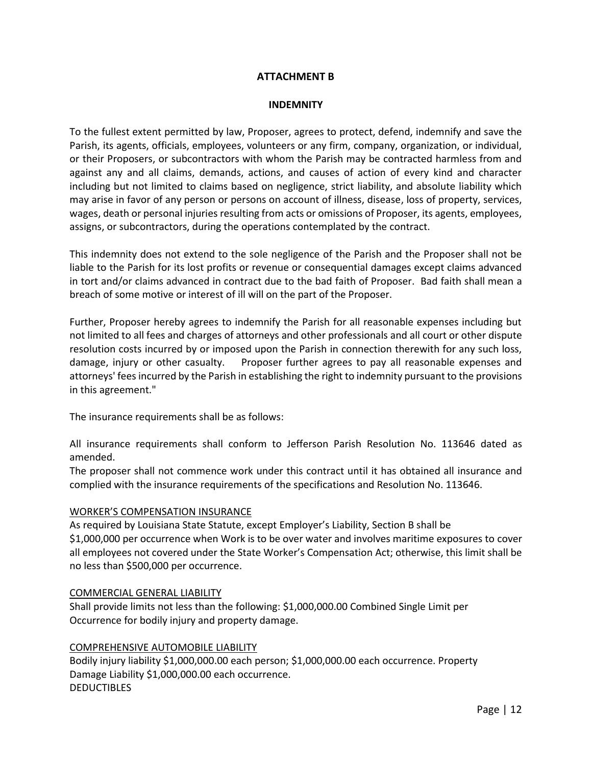#### **ATTACHMENT B**

#### **INDEMNITY**

<span id="page-13-0"></span>To the fullest extent permitted by law, Proposer, agrees to protect, defend, indemnify and save the Parish, its agents, officials, employees, volunteers or any firm, company, organization, or individual, or their Proposers, or subcontractors with whom the Parish may be contracted harmless from and against any and all claims, demands, actions, and causes of action of every kind and character including but not limited to claims based on negligence, strict liability, and absolute liability which may arise in favor of any person or persons on account of illness, disease, loss of property, services, wages, death or personal injuries resulting from acts or omissions of Proposer, its agents, employees, assigns, or subcontractors, during the operations contemplated by the contract.

This indemnity does not extend to the sole negligence of the Parish and the Proposer shall not be liable to the Parish for its lost profits or revenue or consequential damages except claims advanced in tort and/or claims advanced in contract due to the bad faith of Proposer. Bad faith shall mean a breach of some motive or interest of ill will on the part of the Proposer.

Further, Proposer hereby agrees to indemnify the Parish for all reasonable expenses including but not limited to all fees and charges of attorneys and other professionals and all court or other dispute resolution costs incurred by or imposed upon the Parish in connection therewith for any such loss, damage, injury or other casualty. Proposer further agrees to pay all reasonable expenses and attorneys' fees incurred by the Parish in establishing the right to indemnity pursuant to the provisions in this agreement."

The insurance requirements shall be as follows:

All insurance requirements shall conform to Jefferson Parish Resolution No. 113646 dated as amended.

The proposer shall not commence work under this contract until it has obtained all insurance and complied with the insurance requirements of the specifications and Resolution No. 113646.

#### WORKER'S COMPENSATION INSURANCE

As required by Louisiana State Statute, except Employer's Liability, Section B shall be \$1,000,000 per occurrence when Work is to be over water and involves maritime exposures to cover all employees not covered under the State Worker's Compensation Act; otherwise, this limit shall be no less than \$500,000 per occurrence.

#### COMMERCIAL GENERAL LIABILITY

Shall provide limits not less than the following: \$1,000,000.00 Combined Single Limit per Occurrence for bodily injury and property damage.

#### COMPREHENSIVE AUTOMOBILE LIABILITY

Bodily injury liability \$1,000,000.00 each person; \$1,000,000.00 each occurrence. Property Damage Liability \$1,000,000.00 each occurrence. **DEDUCTIBLES**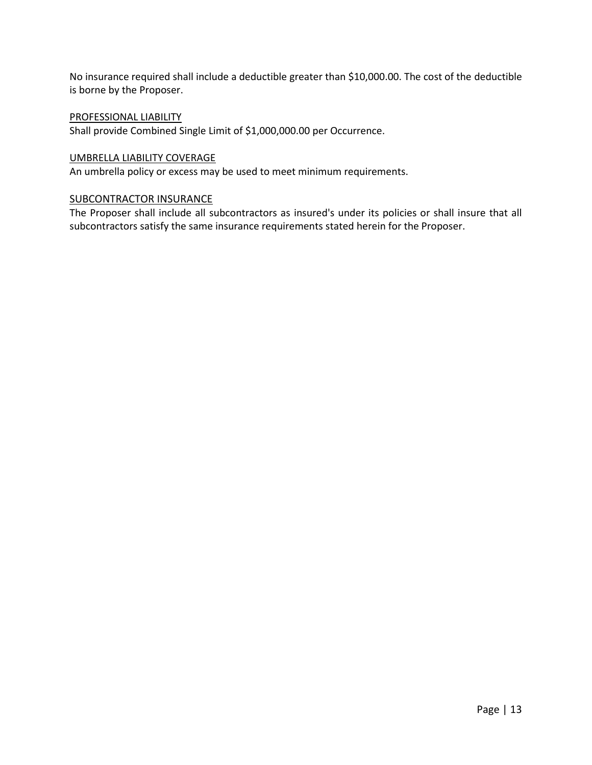No insurance required shall include a deductible greater than \$10,000.00. The cost of the deductible is borne by the Proposer.

#### PROFESSIONAL LIABILITY

Shall provide Combined Single Limit of \$1,000,000.00 per Occurrence.

#### UMBRELLA LIABILITY COVERAGE

An umbrella policy or excess may be used to meet minimum requirements.

#### SUBCONTRACTOR INSURANCE

The Proposer shall include all subcontractors as insured's under its policies or shall insure that all subcontractors satisfy the same insurance requirements stated herein for the Proposer.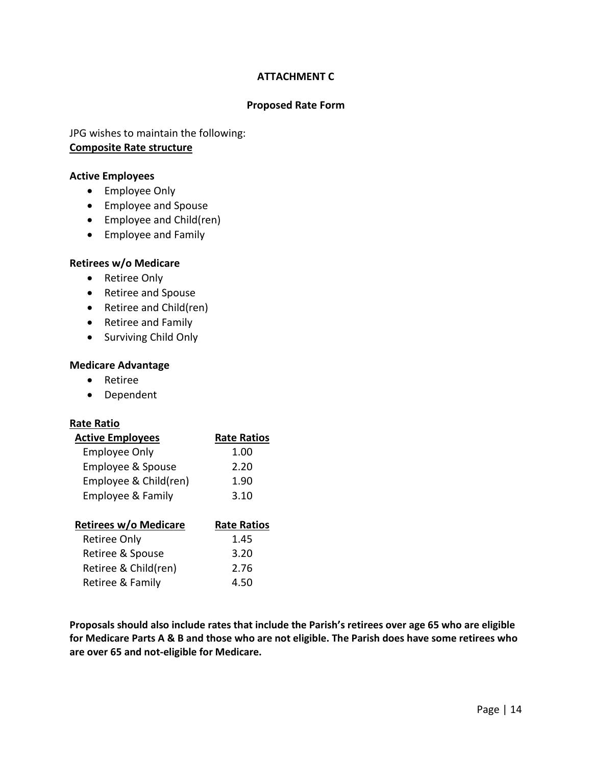#### **ATTACHMENT C**

#### **Proposed Rate Form**

<span id="page-15-0"></span>JPG wishes to maintain the following: **Composite Rate structure**

#### **Active Employees**

- Employee Only
- Employee and Spouse
- Employee and Child(ren)
- Employee and Family

#### **Retirees w/o Medicare**

- Retiree Only
- Retiree and Spouse
- Retiree and Child(ren)
- Retiree and Family
- Surviving Child Only

#### **Medicare Advantage**

- Retiree
- Dependent

#### **Rate Ratio**

| <b>Active Employees</b>      | <b>Rate Ratios</b> |
|------------------------------|--------------------|
| <b>Employee Only</b>         | 1.00               |
| Employee & Spouse            | 2.20               |
| Employee & Child(ren)        | 1.90               |
| <b>Employee &amp; Family</b> | 3.10               |
|                              |                    |
| <b>Retirees w/o Medicare</b> | <b>Rate Ratios</b> |
| <b>Retiree Only</b>          | 1.45               |
| Retiree & Spouse             | 3.20               |
| Retiree & Child(ren)         | 2.76               |
|                              |                    |

**Proposals should also include rates that include the Parish's retirees over age 65 who are eligible for Medicare Parts A & B and those who are not eligible. The Parish does have some retirees who are over 65 and not-eligible for Medicare.**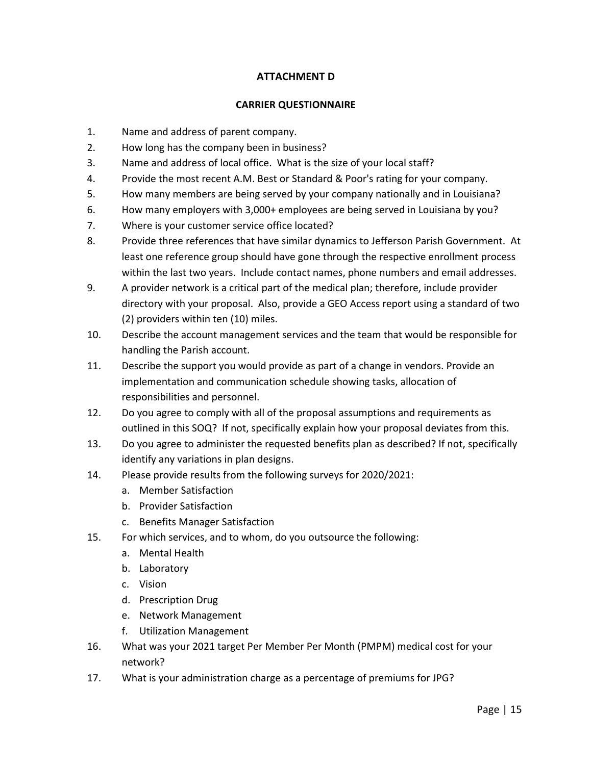#### **ATTACHMENT D**

#### **CARRIER QUESTIONNAIRE**

- <span id="page-16-0"></span>1. Name and address of parent company.
- 2. How long has the company been in business?
- 3. Name and address of local office. What is the size of your local staff?
- 4. Provide the most recent A.M. Best or Standard & Poor's rating for your company.
- 5. How many members are being served by your company nationally and in Louisiana?
- 6. How many employers with 3,000+ employees are being served in Louisiana by you?
- 7. Where is your customer service office located?
- 8. Provide three references that have similar dynamics to Jefferson Parish Government. At least one reference group should have gone through the respective enrollment process within the last two years. Include contact names, phone numbers and email addresses.
- 9. A provider network is a critical part of the medical plan; therefore, include provider directory with your proposal. Also, provide a GEO Access report using a standard of two (2) providers within ten (10) miles.
- 10. Describe the account management services and the team that would be responsible for handling the Parish account.
- 11. Describe the support you would provide as part of a change in vendors. Provide an implementation and communication schedule showing tasks, allocation of responsibilities and personnel.
- 12. Do you agree to comply with all of the proposal assumptions and requirements as outlined in this SOQ? If not, specifically explain how your proposal deviates from this.
- 13. Do you agree to administer the requested benefits plan as described? If not, specifically identify any variations in plan designs.
- 14. Please provide results from the following surveys for 2020/2021:
	- a. Member Satisfaction
	- b. Provider Satisfaction
	- c. Benefits Manager Satisfaction
- 15. For which services, and to whom, do you outsource the following:
	- a. Mental Health
	- b. Laboratory
	- c. Vision
	- d. Prescription Drug
	- e. Network Management
	- f. Utilization Management
- 16. What was your 2021 target Per Member Per Month (PMPM) medical cost for your network?
- 17. What is your administration charge as a percentage of premiums for JPG?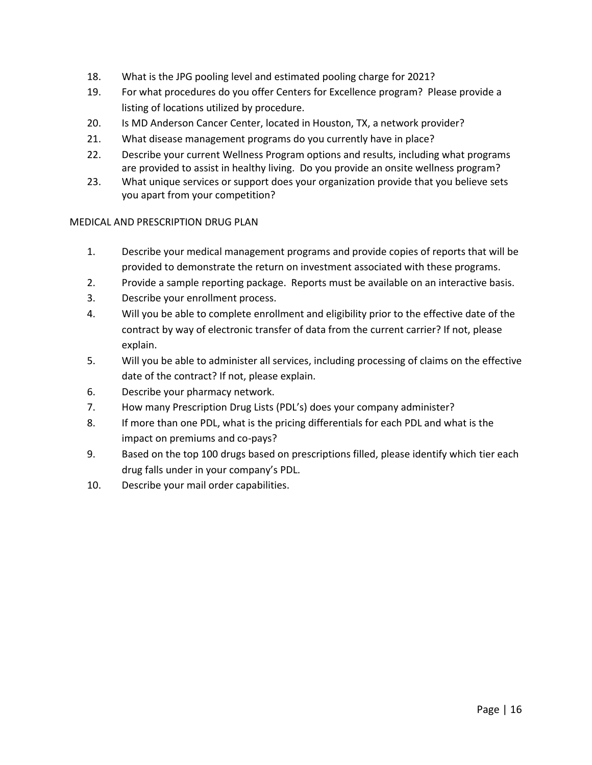- 18. What is the JPG pooling level and estimated pooling charge for 2021?
- 19. For what procedures do you offer Centers for Excellence program? Please provide a listing of locations utilized by procedure.
- 20. Is MD Anderson Cancer Center, located in Houston, TX, a network provider?
- 21. What disease management programs do you currently have in place?
- 22. Describe your current Wellness Program options and results, including what programs are provided to assist in healthy living. Do you provide an onsite wellness program?
- 23. What unique services or support does your organization provide that you believe sets you apart from your competition?

#### MEDICAL AND PRESCRIPTION DRUG PLAN

- 1. Describe your medical management programs and provide copies of reports that will be provided to demonstrate the return on investment associated with these programs.
- 2. Provide a sample reporting package. Reports must be available on an interactive basis.
- 3. Describe your enrollment process.
- 4. Will you be able to complete enrollment and eligibility prior to the effective date of the contract by way of electronic transfer of data from the current carrier? If not, please explain.
- 5. Will you be able to administer all services, including processing of claims on the effective date of the contract? If not, please explain.
- 6. Describe your pharmacy network.
- 7. How many Prescription Drug Lists (PDL's) does your company administer?
- 8. If more than one PDL, what is the pricing differentials for each PDL and what is the impact on premiums and co-pays?
- 9. Based on the top 100 drugs based on prescriptions filled, please identify which tier each drug falls under in your company's PDL.
- 10. Describe your mail order capabilities.